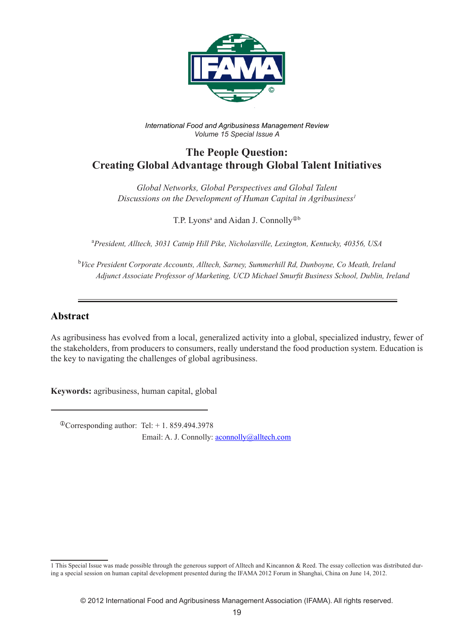

*International Food and Agribusiness Management Review Volume 15 Special Issue A*

# **The People Question: Creating Global Advantage through Global Talent Initiatives**

*Global Networks, Global Perspectives and Global Talent Discussions on the Development of Human Capital in Agribusiness1*

T.P. Lyons<sup>a</sup> and Aidan J. Connolly<sup>®b</sup>

a *President, Alltech, 3031 Catnip Hill Pike, Nicholasville, Lexington, Kentucky, 40356, USA*

b *Vice President Corporate Accounts, Alltech, Sarney, Summerhill Rd, Dunboyne, Co Meath, Ireland Adjunct Associate Professor of Marketing, UCD Michael Smurfit Business School, Dublin, Ireland*

## **Abstract**

As agribusiness has evolved from a local, generalized activity into a global, specialized industry, fewer of the stakeholders, from producers to consumers, really understand the food production system. Education is the key to navigating the challenges of global agribusiness.

**Keywords:** agribusiness, human capital, global

 $^{\circ}$ Corresponding author: Tel: + 1.859.494.3978 Email: A. J. Connolly: **aconnolly**@alltech.com

<sup>1</sup> This Special Issue was made possible through the generous support of Alltech and Kincannon & Reed. The essay collection was distributed during a special session on human capital development presented during the IFAMA 2012 Forum in Shanghai, China on June 14, 2012.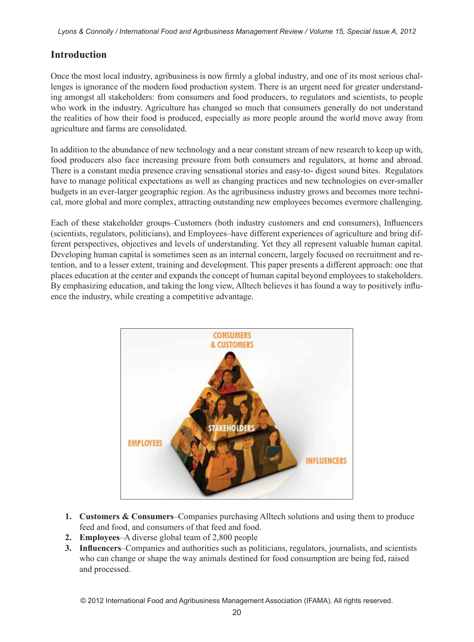## **Introduction**

Once the most local industry, agribusiness is now firmly a global industry, and one of its most serious challenges is ignorance of the modern food production system. There is an urgent need for greater understanding amongst all stakeholders: from consumers and food producers, to regulators and scientists, to people who work in the industry. Agriculture has changed so much that consumers generally do not understand the realities of how their food is produced, especially as more people around the world move away from agriculture and farms are consolidated.

In addition to the abundance of new technology and a near constant stream of new research to keep up with, food producers also face increasing pressure from both consumers and regulators, at home and abroad. There is a constant media presence craving sensational stories and easy-to- digest sound bites. Regulators have to manage political expectations as well as changing practices and new technologies on ever-smaller budgets in an ever-larger geographic region. As the agribusiness industry grows and becomes more technical, more global and more complex, attracting outstanding new employees becomes evermore challenging.

Each of these stakeholder groups–Customers (both industry customers and end consumers), Influencers (scientists, regulators, politicians), and Employees–have different experiences of agriculture and bring different perspectives, objectives and levels of understanding. Yet they all represent valuable human capital. Developing human capital is sometimes seen as an internal concern, largely focused on recruitment and retention, and to a lesser extent, training and development. This paper presents a different approach: one that places education at the center and expands the concept of human capital beyond employees to stakeholders. By emphasizing education, and taking the long view, Alltech believes it has found a way to positively influence the industry, while creating a competitive advantage.



- **1. Customers & Consumers**–Companies purchasing Alltech solutions and using them to produce feed and food, and consumers of that feed and food.
- **2. Employees**–A diverse global team of 2,800 people
- **3. Influencers**–Companies and authorities such as politicians, regulators, journalists, and scientists who can change or shape the way animals destined for food consumption are being fed, raised and processed.

© 2012 International Food and Agribusiness Management Association (IFAMA). All rights reserved.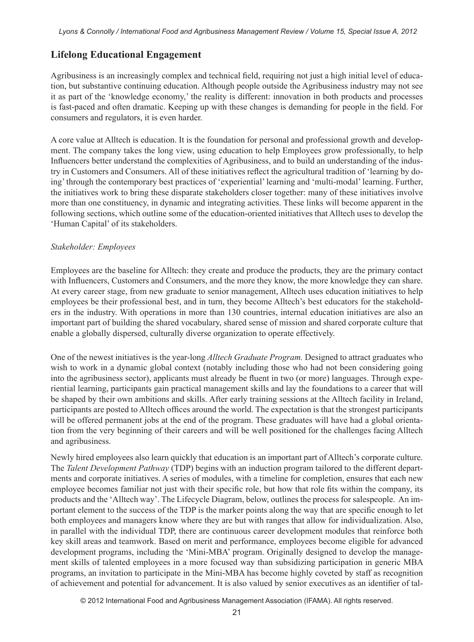## **Lifelong Educational Engagement**

Agribusiness is an increasingly complex and technical field, requiring not just a high initial level of education, but substantive continuing education. Although people outside the Agribusiness industry may not see it as part of the 'knowledge economy,' the reality is different: innovation in both products and processes is fast-paced and often dramatic. Keeping up with these changes is demanding for people in the field. For consumers and regulators, it is even harder.

A core value at Alltech is education. It is the foundation for personal and professional growth and development. The company takes the long view, using education to help Employees grow professionally, to help Influencers better understand the complexities of Agribusiness, and to build an understanding of the industry in Customers and Consumers. All of these initiatives reflect the agricultural tradition of 'learning by doing' through the contemporary best practices of 'experiential' learning and 'multi-modal' learning. Further, the initiatives work to bring these disparate stakeholders closer together: many of these initiatives involve more than one constituency, in dynamic and integrating activities. These links will become apparent in the following sections, which outline some of the education-oriented initiatives that Alltech uses to develop the 'Human Capital' of its stakeholders.

### *Stakeholder: Employees*

Employees are the baseline for Alltech: they create and produce the products, they are the primary contact with Influencers, Customers and Consumers, and the more they know, the more knowledge they can share. At every career stage, from new graduate to senior management, Alltech uses education initiatives to help employees be their professional best, and in turn, they become Alltech's best educators for the stakeholders in the industry. With operations in more than 130 countries, internal education initiatives are also an important part of building the shared vocabulary, shared sense of mission and shared corporate culture that enable a globally dispersed, culturally diverse organization to operate effectively.

One of the newest initiatives is the year-long *Alltech Graduate Program.* Designed to attract graduates who wish to work in a dynamic global context (notably including those who had not been considering going into the agribusiness sector), applicants must already be fluent in two (or more) languages. Through experiential learning, participants gain practical management skills and lay the foundations to a career that will be shaped by their own ambitions and skills. After early training sessions at the Alltech facility in Ireland, participants are posted to Alltech offices around the world. The expectation is that the strongest participants will be offered permanent jobs at the end of the program. These graduates will have had a global orientation from the very beginning of their careers and will be well positioned for the challenges facing Alltech and agribusiness.

Newly hired employees also learn quickly that education is an important part of Alltech's corporate culture. The *Talent Development Pathway* (TDP) begins with an induction program tailored to the different departments and corporate initiatives. A series of modules, with a timeline for completion, ensures that each new employee becomes familiar not just with their specific role, but how that role fits within the company, its products and the 'Alltech way'. The Lifecycle Diagram, below, outlines the process for salespeople. An important element to the success of the TDP is the marker points along the way that are specific enough to let both employees and managers know where they are but with ranges that allow for individualization. Also, in parallel with the individual TDP, there are continuous career development modules that reinforce both key skill areas and teamwork. Based on merit and performance, employees become eligible for advanced development programs, including the 'Mini-MBA' program. Originally designed to develop the management skills of talented employees in a more focused way than subsidizing participation in generic MBA programs, an invitation to participate in the Mini-MBA has become highly coveted by staff as recognition of achievement and potential for advancement. It is also valued by senior executives as an identifier of tal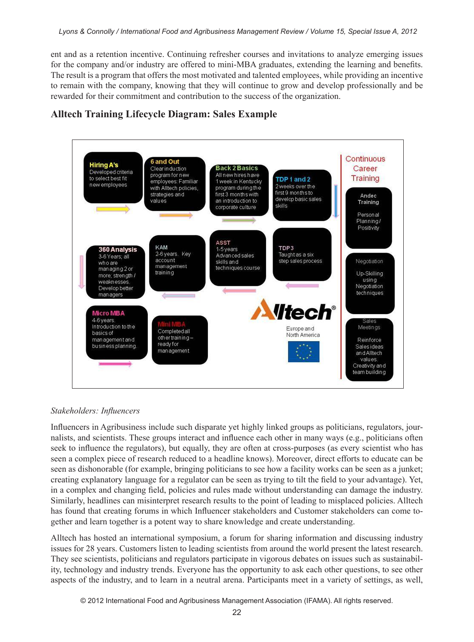ent and as a retention incentive. Continuing refresher courses and invitations to analyze emerging issues for the company and/or industry are offered to mini-MBA graduates, extending the learning and benefits. The result is a program that offers the most motivated and talented employees, while providing an incentive to remain with the company, knowing that they will continue to grow and develop professionally and be rewarded for their commitment and contribution to the success of the organization.



## **Alltech Training Lifecycle Diagram: Sales Example**

### *Stakeholders: Influencers*

Influencers in Agribusiness include such disparate yet highly linked groups as politicians, regulators, journalists, and scientists. These groups interact and influence each other in many ways (e.g., politicians often seek to influence the regulators), but equally, they are often at cross-purposes (as every scientist who has seen a complex piece of research reduced to a headline knows). Moreover, direct efforts to educate can be seen as dishonorable (for example, bringing politicians to see how a facility works can be seen as a junket; creating explanatory language for a regulator can be seen as trying to tilt the field to your advantage). Yet, in a complex and changing field, policies and rules made without understanding can damage the industry. Similarly, headlines can misinterpret research results to the point of leading to misplaced policies. Alltech has found that creating forums in which Influencer stakeholders and Customer stakeholders can come together and learn together is a potent way to share knowledge and create understanding.

Alltech has hosted an international symposium, a forum for sharing information and discussing industry issues for 28 years. Customers listen to leading scientists from around the world present the latest research. They see scientists, politicians and regulators participate in vigorous debates on issues such as sustainability, technology and industry trends. Everyone has the opportunity to ask each other questions, to see other aspects of the industry, and to learn in a neutral arena. Participants meet in a variety of settings, as well,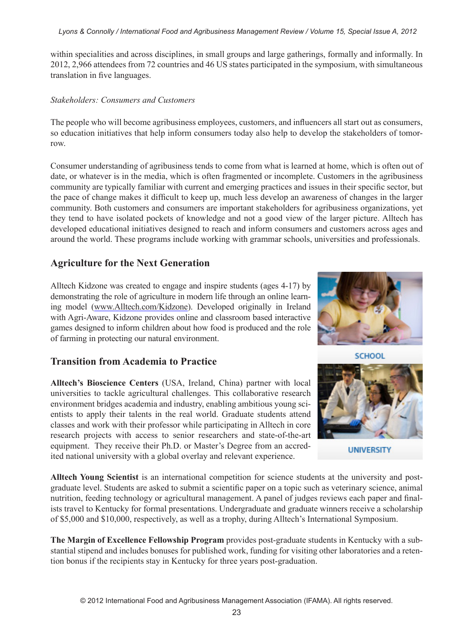#### *Lyons & Connolly / International Food and Agribusiness Management Review / Volume 15, Special Issue A, 2012*

within specialities and across disciplines, in small groups and large gatherings, formally and informally. In 2012, 2,966 attendees from 72 countries and 46 US states participated in the symposium, with simultaneous translation in five languages.

### *Stakeholders: Consumers and Customers*

The people who will become agribusiness employees, customers, and influencers all start out as consumers, so education initiatives that help inform consumers today also help to develop the stakeholders of tomorrow.

Consumer understanding of agribusiness tends to come from what is learned at home, which is often out of date, or whatever is in the media, which is often fragmented or incomplete. Customers in the agribusiness community are typically familiar with current and emerging practices and issues in their specific sector, but the pace of change makes it difficult to keep up, much less develop an awareness of changes in the larger community. Both customers and consumers are important stakeholders for agribusiness organizations, yet they tend to have isolated pockets of knowledge and not a good view of the larger picture. Alltech has developed educational initiatives designed to reach and inform consumers and customers across ages and around the world. These programs include working with grammar schools, universities and professionals.

### **Agriculture for the Next Generation**

Alltech Kidzone was created to engage and inspire students (ages 4-17) by demonstrating the role of agriculture in modern life through an online learning model (www.Alltech.com/Kidzone). Developed originally in Ireland with Agri-Aware, Kidzone provides online and classroom based interactive games designed to inform children about how food is produced and the role of farming in protecting our natural environment.

## **Transition from Academia to Practice**

**Alltech's Bioscience Centers** (USA, Ireland, China) partner with local universities to tackle agricultural challenges. This collaborative research environment bridges academia and industry, enabling ambitious young scientists to apply their talents in the real world. Graduate students attend classes and work with their professor while participating in Alltech in core research projects with access to senior researchers and state-of-the-art equipment. They receive their Ph.D. or Master's Degree from an accredited national university with a global overlay and relevant experience.



**UNIVERSITY** 

**Alltech Young Scientist** is an international competition for science students at the university and postgraduate level. Students are asked to submit a scientific paper on a topic such as veterinary science, animal nutrition, feeding technology or agricultural management. A panel of judges reviews each paper and finalists travel to Kentucky for formal presentations. Undergraduate and graduate winners receive a scholarship of \$5,000 and \$10,000, respectively, as well as a trophy, during Alltech's International Symposium.

**The Margin of Excellence Fellowship Program** provides post-graduate students in Kentucky with a substantial stipend and includes bonuses for published work, funding for visiting other laboratories and a retention bonus if the recipients stay in Kentucky for three years post-graduation.